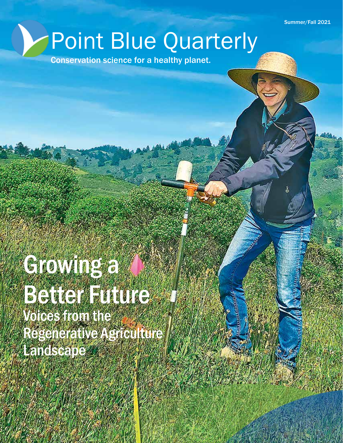Summer/Fall 2021

# Point Blue Quarterly

Conservation science for a healthy planet.

# Growing a **Better Future** Voices from the Regenerative Agriculture Landscape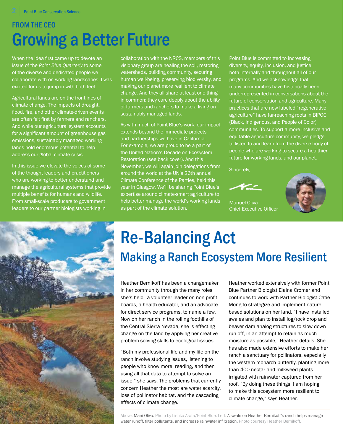### FROM THE CEO Growing a Better Future

When the idea first came up to devote an issue of the *Point Blue Quarterly* to some of the diverse and dedicated people we collaborate with on working landscapes, I was excited for us to jump in with both feet.

Agricultural lands are on the frontlines of climate change. The impacts of drought, flood, fire, and other climate-driven events are often felt first by farmers and ranchers. And while our agricultural system accounts for a significant amount of greenhouse gas emissions, sustainably managed working lands hold enormous potential to help address our global climate crisis.

In this issue we elevate the voices of some of the thought leaders and practitioners who are working to better understand and manage the agricultural systems that provide multiple benefits for humans and wildlife. From small-scale producers to government leaders to our partner biologists working in



collaboration with the NRCS, members of this visionary group are healing the soil, restoring watersheds, building community, securing human well-being, preserving biodiversity, and making our planet more resilient to climate change. And they all share at least one thing in common: they care deeply about the ability of farmers and ranchers to make a living on sustainably managed lands.

As with much of Point Blue's work, our impact extends beyond the immediate projects and partnerships we have in California. For example, we are proud to be a part of the United Nation's Decade on Ecosystem Restoration (see back cover). And this November, we will again join delegations from around the world at the UN's 26th annual Climate Conference of the Parties, held this year in Glasgow. We'll be sharing Point Blue's expertise around climate-smart agriculture to help better manage the world's working lands as part of the climate solution.

Point Blue is committed to increasing diversity, equity, inclusion, and justice both internally and throughout all of our programs. And we acknowledge that many communities have historically been underrepresented in conversations about the future of conservation and agriculture. Many practices that are now labeled "regenerative agriculture" have far-reaching roots in BIPOC (Black, Indigenous, and People of Color) communities. To support a more inclusive and equitable agriculture community, we pledge to listen to and learn from the diverse body of people who are working to secure a healthier future for working lands, and our planet.

Sincerely,



Manuel Oliva Chief Executive Officer



## Re-Balancing Act Making a Ranch Ecosystem More Resilient

Heather Bernikoff has been a changemaker in her community through the many roles she's held—a volunteer leader on non-profit boards, a health educator, and an advocate for direct service programs, to name a few. Now on her ranch in the rolling foothills of the Central Sierra Nevada, she is effecting change on the land by applying her creative problem solving skills to ecological issues.

"Both my professional life and my life on the ranch involve studying issues, listening to people who know more, reading, and then using all that data to attempt to solve an issue," she says. The problems that currently concern Heather the most are water scarcity, loss of pollinator habitat, and the cascading effects of climate change.

Heather worked extensively with former Point Blue Partner Biologist Elaina Cromer and continues to work with Partner Biologist Catie Mong to strategize and implement naturebased solutions on her land. "I have installed swales and plan to install log/rock drop and beaver dam analog structures to slow down run-off, in an attempt to retain as much moisture as possible," Heather details. She has also made extensive efforts to make her ranch a sanctuary for pollinators, especially the western monarch butterfly, planting more than 400 nectar and milkweed plants irrigated with rainwater captured from her roof. "By doing these things, I am hoping to make this ecosystem more resilient to climate change," says Heather.

Above: Mani Oliva. Photo by Lishka Arata/Point Blue. Left: A swale on Heather Bernikoff's ranch helps manage water runoff, filter pollutants, and increase rainwater infiltration. Photo courtesy Heather Bernikoff.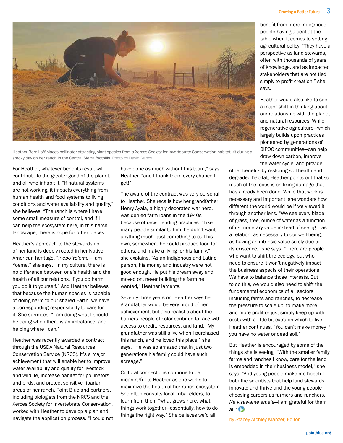

Heather Bernikoff places pollinator-attracting plant species from a Xerces Society for Invertebrate Conservation habitat kit during a smoky day on her ranch in the Central Sierra foothills. Photo by David Raboy.

For Heather, whatever benefits result will contribute to the greater good of the planet, and all who inhabit it. "If natural systems are not working, it impacts everything from human health and food systems to living conditions and water availability and quality," she believes. "The ranch is where I have some small measure of control, and if I can help the ecosystem here, in this harsh landscape, there is hope for other places."

Heather's approach to the stewardship of her land is deeply rooted in her Native American heritage. "*Inepo Yo'eme*—I am Yoeme," she says. "In my culture, there is no difference between one's health and the health of all our relations. If you do harm, you do it to yourself." And Heather believes that because the human species is capable of doing harm to our shared Earth, we have a corresponding responsibility to care for it. She surmises: "I am doing what I should be doing when there is an imbalance, and helping where I can."

Heather was recently awarded a contract through the USDA Natural Resources Conservation Service (NRCS). It's a major achievement that will enable her to improve water availability and quality for livestock and wildlife, increase habitat for pollinators and birds, and protect sensitive riparian areas of her ranch. Point Blue and partners, including biologists from the NRCS and the Xerces Society for Invertebrate Conservation, worked with Heather to develop a plan and navigate the application process. "I could not

have done as much without this team," says Heather, "and I thank them every chance I get!"

The award of the contract was very personal to Heather. She recalls how her grandfather Henry Ayala, a highly decorated war hero, was denied farm loans in the 1940s because of racist lending practices. "Like many people similar to him, he didn't want anything much—just something to call his own, somewhere he could produce food for others, and make a living for his family," she explains. "As an Indigenous and Latino person, his money and industry were not good enough. He put his dream away and moved on, never building the farm he wanted," Heather laments.

Seventy-three years on, Heather says her grandfather would be very proud of her achievement, but also realistic about the barriers people of color continue to face with access to credit, resources, and land. "My grandfather was still alive when I purchased this ranch, and he loved this place," she says. "He was so amazed that in just two generations his family could have such acreage."

Cultural connections continue to be meaningful to Heather as she works to maximize the health of her ranch ecosystem. She often consults local Tribal elders, to learn from them "what grows here, what things work together—essentially, how to do things the right way." She believes we'd all

benefit from more Indigenous people having a seat at the table when it comes to setting agricultural policy. "They have a perspective as land stewards, often with thousands of years of knowledge, and as impacted stakeholders that are not tied simply to profit creation," she says.

Heather would also like to see a major shift in thinking about our relationship with the planet and natural resources. While regenerative agriculture—which largely builds upon practices pioneered by generations of BIPOC communities—can help draw down carbon, improve the water cycle, and provide

other benefits by restoring soil health and degraded habitat, Heather points out that so much of the focus is on fixing damage that has already been done. While that work is necessary and important, she wonders how different the world would be if we viewed it through another lens. "We see every blade of grass, tree, ounce of water as a function of its monetary value instead of seeing it as a relation, as necessary to our well-being, as having an intrinsic value solely due to its existence," she says. "There are people who want to shift the ecology, but who need to ensure it won't negatively impact the business aspects of their operations. We have to balance those interests. But to do this, we would also need to shift the fundamental economics of all sectors, including farms and ranches, to decrease the pressure to scale up, to make more and more profit or just simply keep up with costs with a little bit extra on which to live," Heather continues. "You can't make money if you have no water or dead soil."

But Heather is encouraged by some of the things she is seeing. "With the smaller family farms and ranches I know, care for the land is embedded in their business model," she says. "And young people make me hopeful both the scientists that help land stewards innovate and thrive and the young people choosing careers as farmers and ranchers. *Ne visawame eme'e*—I am grateful for them all."

by Stacey Atchley-Manzer, Editor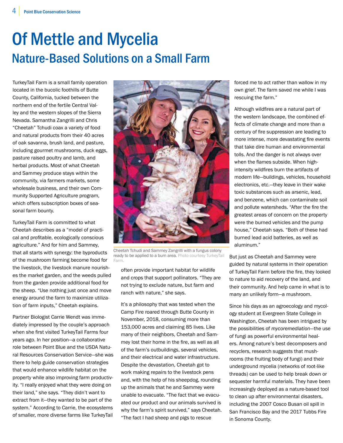### Of Mettle and Mycelia Nature-Based Solutions on a Small Farm

TurkeyTail Farm is a small family operation located in the bucolic foothills of Butte County, California, tucked between the northern end of the fertile Central Valley and the western slopes of the Sierra Nevada. Samantha Zangrilli and Chris "Cheetah" Tchudi coax a variety of food and natural products from their 40 acres of oak savanna, brush land, and pasture, including gourmet mushrooms, duck eggs, pasture raised poultry and lamb, and herbal products. Most of what Cheetah and Sammey produce stays within the community, via farmers markets, some wholesale business, and their own Community Supported Agriculture program, which offers subscription boxes of seasonal farm bounty.

TurkeyTail Farm is committed to what Cheetah describes as a "model of practical and profitable, ecologically conscious agriculture." And for him and Sammey, that all starts with synergy: the byproducts of the mushroom farming become food for the livestock, the livestock manure nourishes the market garden, and the weeds pulled from the garden provide additional food for the sheep. "Use nothing just once and move energy around the farm to maximize utilization of farm inputs," Cheetah explains.

Partner Biologist Carrie Wendt was immediately impressed by the couple's approach when she first visited TurkeyTail Farms four years ago. In her position—a collaborative role between Point Blue and the USDA Natural Resources Conservation Service—she was there to help guide conservation strategies that would enhance wildlife habitat on the property while also improving farm productivity. "I really enjoyed what they were doing on their land," she says. "They didn't want to extract from it—they wanted to be part of the system." According to Carrie, the ecosystems of smaller, more diverse farms like TurkeyTail



Cheetah Tchudi and Sammey Zangrilli with a fungus colony ready to be applied to a burn area. Photo courtesy TurkeyTail Farm.

often provide important habitat for wildlife and crops that support pollinators. "They are not trying to exclude nature, but farm and ranch with nature," she says.

It's a philosophy that was tested when the Camp Fire roared through Butte County in November, 2018, consuming more than 153,000 acres and claiming 85 lives. Like many of their neighbors, Cheetah and Sammey lost their home in the fire, as well as all of the farm's outbuildings, several vehicles, and their electrical and water infrastructure. Despite the devastation, Cheetah got to work making repairs to the livestock pens and, with the help of his sheepdog, rounding up the animals that he and Sammey were unable to evacuate. "The fact that we evacuated our product and our animals survived is why the farm's spirit survived," says Cheetah. "The fact I had sheep and pigs to rescue

forced me to act rather than wallow in my own grief. The farm saved me while I was rescuing the farm."

Although wildfires are a natural part of the western landscape, the combined effects of climate change and more than a century of fire suppression are leading to more intense, more devastating fire events that take dire human and environmental tolls. And the danger is not always over when the flames subside. When highintensity wildfires burn the artifacts of modern life—buildings, vehicles, household electronics, etc.—they leave in their wake toxic substances such as arsenic, lead, and benzene, which can contaminate soil and pollute watersheds. "After the fire the greatest areas of concern on the property were the burned vehicles and the pump house," Cheetah says. "Both of these had burned lead acid batteries, as well as aluminum."

But just as Cheetah and Sammey were guided by natural systems in their operation of TurkeyTail Farm before the fire, they looked to nature to aid recovery of the land, and their community. And help came in what is to many an unlikely form—a mushroom.

Since his days as an agroecology and mycology student at Evergreen State College in Washington, Cheetah has been intrigued by the possibilities of *mycoremediation*—the use of fungi as powerful environmental healers. Among nature's best decomposers and recyclers, research suggests that mushrooms (the fruiting body of fungi) and their underground mycelia (networks of root-like threads) can be used to help break down or sequester harmful materials. They have been increasingly deployed as a nature-based tool to clean up after environmental disasters, including the 2007 Cosco Busan oil spill in San Francisco Bay and the 2017 Tubbs Fire in Sonoma County.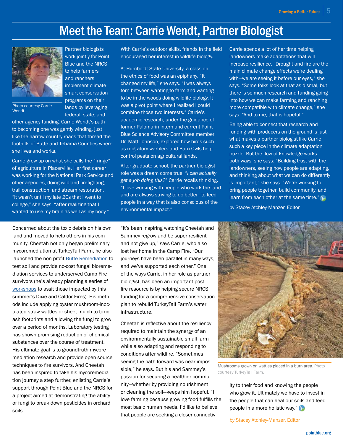### Meet the Team: Carrie Wendt, Partner Biologist



Photo courtesy Carrie Wendt.

other agency funding. Carrie Wendt's path to becoming one was gently winding, just like the narrow country roads that thread the foothills of Butte and Tehama Counties where she lives and works.

Partner biologists work jointly for Point Blue and the NRCS to help farmers and ranchers implement climatesmart conservation programs on their lands by leveraging federal, state, and

Carrie grew up on what she calls the "fringe" of agriculture in Placerville. Her first career was working for the National Park Service and other agencies, doing wildland firefighting, trail construction, and stream restoration. "It wasn't until my late 20s that I went to college," she says, "after realizing that I wanted to use my brain as well as my body."

Concerned about the toxic debris on his own land and moved to help others in his community, Cheetah not only began preliminary mycoremediation at TurkeyTail Farm, he also launched the non-profit **Butte Remediation** to test soil and provide no-cost fungal bioremediation services to underserved Camp Fire survivors (he's already planning a series of workshops to assit those impacted by this summer's Dixie and Caldor Fires). His methods include applying oyster mushroom-inoculated straw wattles or sheet mulch to toxic ash footprints and allowing the fungi to grow over a period of months. Laboratory testing has shown promising reduction of chemical substances over the course of treatment. His ultimate goal is to groundtruth mycoremediation research and provide open-source techniques to fire survivors. And Cheetah has been inspired to take his mycoremediation journey a step further, enlisting Carrie's support through Point Blue and the NRCS for a project aimed at demonstrating the ability of fungi to break down pesticides in orchard soils.

With Carrie's outdoor skills, friends in the field encouraged her interest in wildlife biology.

At Humboldt State University, a class on the ethics of food was an epiphany. "It changed my life," she says. "I was always torn between wanting to farm and wanting to be in the woods doing wildlife biology. It was a pivot point where I realized I could combine those two interests." Carrie's academic research, under the guidance of former Palomarin intern and current Point Blue Science Advisory Committee member Dr. Matt Johnson, explored how birds such as migratory warblers and Barn Owls help control pests on agricultural lands.

After graduate school, the partner biologist role was a dream come true. "*I can actually get a job doing this?*" Carrie recalls thinking. "I love working with people who work the land and are always striving to do better—to feed people in a way that is also conscious of the environmental impact."

"It's been inspiring watching Cheetah and Sammey regrow and be super resilient and not give up," says Carrie, who also lost her home in the Camp Fire. "Our journeys have been parallel in many ways, and we've supported each other." One of the ways Carrie, in her role as partner biologist, has been an important postfire resource is by helping secure NRCS funding for a comprehensive conservation plan to rebuild TurkeyTail Farm's water infrastructure.

Cheetah is reflective about the resiliency required to maintain the synergy of an environmentally sustainable small farm while also adapting and responding to conditions after wildfire. "Sometimes seeing the path forward was near impossible," he says. But his and Sammey's passion for securing a healthier community—whether by providing nourishment or cleaning the soil—keeps him hopeful. "I love farming because growing food fulfills the most basic human needs. I'd like to believe that people are seeking a closer connectiv-

Carrie spends a lot of her time helping landowners make adaptations that will increase resilience. "Drought and fire are the main climate change effects we're dealing with—we are seeing it before our eyes," she says. "Some folks look at that as dismal, but there is so much research and funding going into how we can make farming and ranching more compatible with climate change," she says. "And to me, that is hopeful."

Being able to connect that research and funding with producers on the ground is just what makes a partner biologist like Carrie such a key piece in the climate adaptation puzzle. But the flow of knowledge works both ways, she says: "Building trust with the landowners, seeing how people are adapting, and thinking about what we can do differently is important," she says. "We're working to bring people together, build community, and learn from each other at the same time."

by Stacey Atchley-Manzer, Editor



Mushrooms grown on wattles placed in a burn area. Photo courtesy TurkeyTail Farm.

ity to their food and knowing the people who grow it. Ultimately we have to invest in the people that can heal our soils and feed people in a more holistic way."

by Stacey Atchley-Manzer, Editor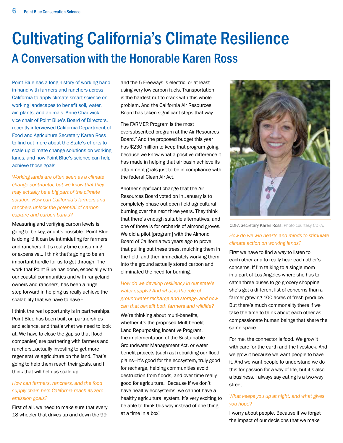### Cultivating California's Climate Resilience A Conversation with the Honorable Karen Ross

Point Blue has a long history of working handin-hand with farmers and ranchers across California to apply climate-smart science on working landscapes to benefit soil, water, air, plants, and animals. Anne Chadwick, vice chair of Point Blue's Board of Directors, recently interviewed California Department of Food and Agriculture Secretary Karen Ross to find out more about the State's efforts to scale up climate change solutions on working lands, and how Point Blue's science can help achieve those goals.

*Working lands are often seen as a climate change contributor, but we know that they may actually be a big part of the climate solution. How can California's farmers and ranchers unlock the potential of carbon capture and carbon banks?*

Measuring and verifying carbon levels is going to be key, and it's possible—Point Blue is doing it! It can be intimidating for farmers and ranchers if it's really time consuming or expensive... I think that's going to be an important hurdle for us to get through. The work that Point Blue has done, especially with our coastal communities and with rangeland owners and ranchers, has been a huge step forward in helping us really achieve the scalability that we have to have.<sup>1</sup>

I think the real opportunity is in partnerships. Point Blue has been built on partnerships and science, and that's what we need to look at. We have to close the gap so that [food companies] are partnering with farmers and ranchers...actually investing to get more regenerative agriculture on the land. That's going to help them reach their goals, and I think that will help us scale up.

#### *How can farmers, ranchers, and the food supply chain help California reach its zeroemission goals?*

First of all, we need to make sure that every 18-wheeler that drives up and down the 99

and the 5 Freeways is electric, or at least using very low carbon fuels. Transportation is the hardest nut to crack with this whole problem. And the California Air Resources Board has taken significant steps that way.

The FARMER Program is the most oversubscribed program at the Air Resources Board.2 And the proposed budget this year has \$230 million to keep that program going, because we know what a positive difference it has made in helping that air basin achieve its attainment goals just to be in compliance with the federal Clean Air Act.

Another significant change that the Air Resources Board voted on in January is to completely phase out open field agricultural burning over the next three years. They think that there's enough suitable alternatives, and one of those is for orchards of almond groves. We did a pilot [program] with the Almond Board of California two years ago to prove that pulling out these trees, mulching them in the field, and then immediately working them into the ground actually stored carbon and eliminated the need for burning.

#### *How do we develop resiliency in our state's water supply? And what is the role of groundwater recharge and storage, and how can that benefit both farmers and wildlife?*

We're thinking about multi-benefits. whether it's the proposed Multibenefit Land Repurposing Incentive Program, the implementation of the Sustainable Groundwater Management Act, or water benefit projects [such as] rebuilding our flood plains—it's good for the ecosystem, truly good for recharge, helping communities avoid destruction from floods, and over time really good for agriculture.3 Because if we don't have healthy ecosystems, we cannot have a healthy agricultural system. It's very exciting to be able to think this way instead of one thing at a time in a box!



CDFA Secretary Karen Ross. Photo courtesy CDFA.

#### *How do we win hearts and minds to stimulate climate action on working lands?*

First we have to find a way to listen to each other and to really hear each other's concerns. If I'm talking to a single mom in a part of Los Angeles where she has to catch three buses to go grocery shopping, she's got a different list of concerns than a farmer growing 100 acres of fresh produce. But there's much commonality there if we take the time to think about each other as compassionate human beings that share the same space.

For me, the connector is food. We grow it with care for the earth and the livestock. And we grow it because we want people to have it. And we want people to understand we do this for passion for a way of life, but it's also a business. I always say eating is a two-way street.

#### *What keeps you up at night, and what gives you hope?*

I worry about people. Because if we forget the impact of our decisions that we make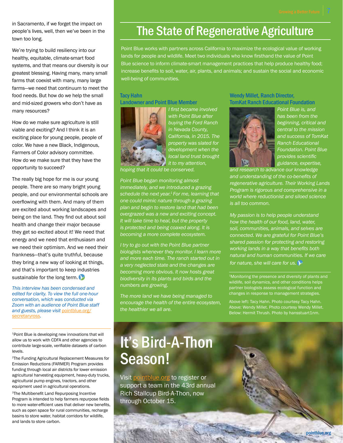in Sacramento, if we forget the impact on people's lives, well, then we've been in the town too long.

We're trying to build resiliency into our healthy, equitable, climate-smart food systems, and that means our diversity is our greatest blessing. Having many, many small farms that coexist with many, many large farms—we need that continuum to meet the food needs. But how do we help the small and mid-sized growers who don't have as many resources?

How do we make sure agriculture is still viable and exciting? And I think it is an exciting place for young people, people of color. We have a new Black, Indigenous, Farmers of Color advisory committee. How do we make sure that they have the opportunity to succeed?

The really big hope for me is our young people. There are so many bright young people, and our environmental schools are overflowing with them. And many of them are excited about working landscapes and being on the land. They find out about soil health and change their major because they get so excited about it! We need that energy and we need that enthusiasm and we need their optimism. And we need their frankness—that's quite truthful, because they bring a new way of looking at things, and that's important to keep industries sustainable for the long term.

*This interview has been condensed and edited for clarity. To view the full one-hour conversation, which was conducted via Zoom with an audience of Point Blue staff and guests, please visit* pointblue.org/ secretaryross*.*

1Point Blue is developing new innovations that will allow us to work with CDFA and other agencies to contribute large-scale, verifiable datasets of carbon levels.

2The Funding Agricultural Replacement Measures for Emission Reductions (FARMER) Program provides funding through local air districts for lower emission agricultural harvesting equipment, heavy-duty trucks, agricultural pump engines, tractors, and other equipment used in agricultural operations.

<sup>3</sup>The Multibenefit Land Repurposing Incentive Program is intended to help farmers repurpose fields to more water-efficient uses that deliver new benefits, such as open space for rural communities, recharge basins to store water, habitat corridors for wildlife, and lands to store carbon.

### The State of Regenerative Agriculture

Point Blue works with partners across California to maximize the ecological value of working lands for people and wildlife. Meet two individuals who know firsthand the value of Point Blue science to inform climate-smart management practices that help produce healthy food; increase benefits to soil, water, air, plants, and animals; and sustain the social and economic well-being of communities.

#### Tacy Hahn

#### Landowner and Point Blue Member



*I first became involved with Point Blue after buying the Ford Ranch in Nevada County, California, in 2015. The property was slated for development when the local land trust brought it to my attention,* 

*hoping that it could be conserved.* 

*Point Blue began monitoring almost immediately, and we introduced a grazing schedule the next year.1 For me, learning that one could mimic nature through a grazing plan and begin to restore land that had been overgrazed was a new and exciting concept. It will take time to heal, but the property is protected and being coaxed along. It is becoming a more complete ecosystem.* 

*I try to go out with the Point Blue partner biologists whenever they monitor. I learn more and more each time. The ranch started out in a very neglected state and the changes are becoming more obvious. It now hosts great biodiversity in its plants and birds and the numbers are growing.*

*The more land we have being managed to encourage the health of the entire ecosystem, the healthier we all are.*

#### Wendy Millet, Ranch Director, TomKat Ranch Educational Foundation



*Point Blue is, and has been from the beginning, critical and central to the mission and success of TomKat Ranch Educational Foundation. Point Blue provides scientific guidance, expertise,* 

*and research to advance our knowledge and understanding of the co-benefits of regenerative agriculture. Their Working Lands Program is rigorous and comprehensive in a world where reductionist and siloed science is all too common.* 

*My passion is to help people understand how the health of our food, land, water, soil, communities, animals, and selves are connected. We are grateful for Point Blue's shared passion for protecting and restoring working lands in a way that benefits both natural and human communities. If we care for nature, she will care for us.*

<sup>1</sup>Monitoring the presence and diversity of plants and wildlife, soil dynamics, and other conditions helps partner biologists assess ecological function and changes in response to management strategies.

Above: Wendy Millet. Photo courtesy Wendy Millet. Below: Hermit Thrush. Photo by hansstuart1nm.

pointblue.org

### It's Bird-A-Thon Season!

Visit pointblue.org to register or support a team in the 43rd annual Rich Stallcup Bird-A-Thon, now through October 15.